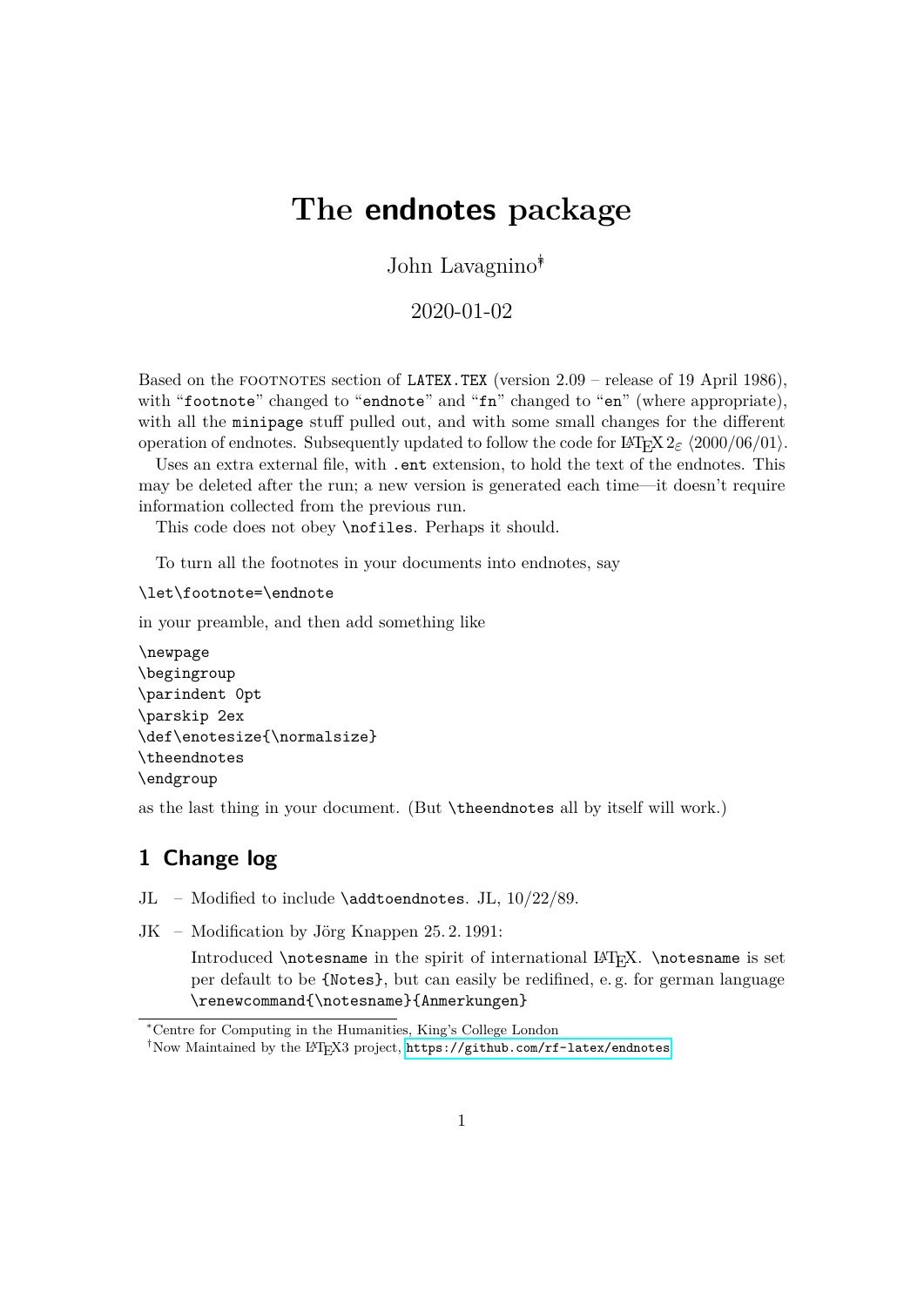# **The endnotes package**

John Lavagnino∗†

2020-01-02

Based on the FOOTNOTES section of LATEX.TEX (version 2.09 – release of 19 April 1986), with "footnote" changed to "endnote" and "fn" changed to "en" (where appropriate), with all the minipage stuff pulled out, and with some small changes for the different operation of endnotes. Subsequently updated to follow the code for  $\text{LATEX } 2\varepsilon$   $\langle 2000/06/01 \rangle$ .

Uses an extra external file, with . ent extension, to hold the text of the endnotes. This may be deleted after the run; a new version is generated each time—it doesn't require information collected from the previous run.

This code does not obey \nofiles. Perhaps it should.

To turn all the footnotes in your documents into endnotes, say

\let\footnote=\endnote

in your preamble, and then add something like

```
\newpage
\begingroup
\parindent 0pt
\parskip 2ex
\def\enotesize{\normalsize}
\theendnotes
\endgroup
```
as the last thing in your document. (But \theendnotes all by itself will work.)

#### **1 Change log**

JL – Modified to include  $\add$ toendnotes. JL,  $10/22/89$ .

JK – Modification by Jörg Knappen 25. 2. 1991:

Introduced **\notesname** in the spirit of international LAT<sub>E</sub>X. **\notesname** is set per default to be {Notes}, but can easily be redifined, e. g. for german language \renewcommand{\notesname}{Anmerkungen}

<sup>∗</sup>Centre for Computing in the Humanities, King's College London

<sup>†</sup>Now Maintained by the LATEX3 project, <https://github.com/rf-latex/endnotes>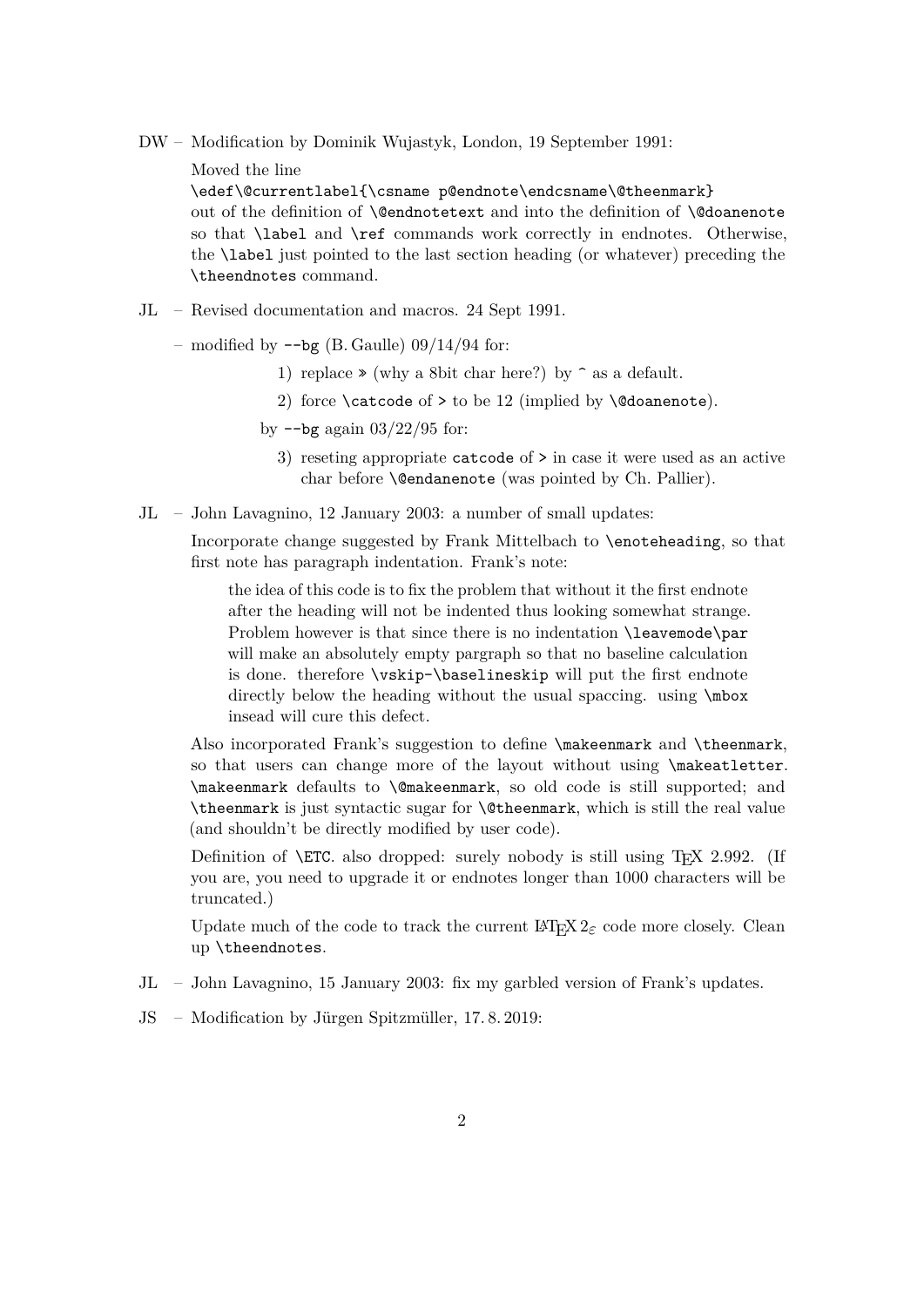- DW Modification by Dominik Wujastyk, London, 19 September 1991:
	- Moved the line

\edef\@currentlabel{\csname p@endnote\endcsname\@theenmark} out of the definition of **\@endnotetext** and into the definition of **\@doanenote** so that \label and \ref commands work correctly in endnotes. Otherwise, the \label just pointed to the last section heading (or whatever) preceding the \theendnotes command.

- JL Revised documentation and macros. 24 Sept 1991.
	- modified by  $-\text{bg}$  (B. Gaulle) 09/14/94 for:
		- 1) replace  $\ast$  (why a 8bit char here?) by  $\hat{ }$  as a default.
		- 2) force  $\c{catcode of > to be 12 (implied by \@doanenote).$
		- by  $-\text{bg}$  again  $03/22/95$  for:
			- 3) reseting appropriate catcode of > in case it were used as an active char before **\@endanenote** (was pointed by Ch. Pallier).
- JL John Lavagnino, 12 January 2003: a number of small updates:

Incorporate change suggested by Frank Mittelbach to \enoteheading, so that first note has paragraph indentation. Frank's note:

the idea of this code is to fix the problem that without it the first endnote after the heading will not be indented thus looking somewhat strange. Problem however is that since there is no indentation **\leavemode\par** will make an absolutely empty pargraph so that no baseline calculation is done. therefore \vskip-\baselineskip will put the first endnote directly below the heading without the usual spaccing. using \mbox insead will cure this defect.

Also incorporated Frank's suggestion to define \makeenmark and \theenmark, so that users can change more of the layout without using \makeatletter. \makeenmark defaults to \@makeenmark, so old code is still supported; and \theenmark is just syntactic sugar for \@theenmark, which is still the real value (and shouldn't be directly modified by user code).

Definition of  $\Epsilon$ . also dropped: surely nobody is still using T<sub>E</sub>X 2.992. (If you are, you need to upgrade it or endnotes longer than 1000 characters will be truncated.)

Update much of the code to track the current  $\mathbb{F} \mathbb{F} \mathbb{E} \mathbb{E} \mathbb{E} \mathbb{E}$  code more closely. Clean up \theendnotes.

- JL John Lavagnino, 15 January 2003: fix my garbled version of Frank's updates.
- JS Modification by Jürgen Spitzmüller, 17. 8. 2019: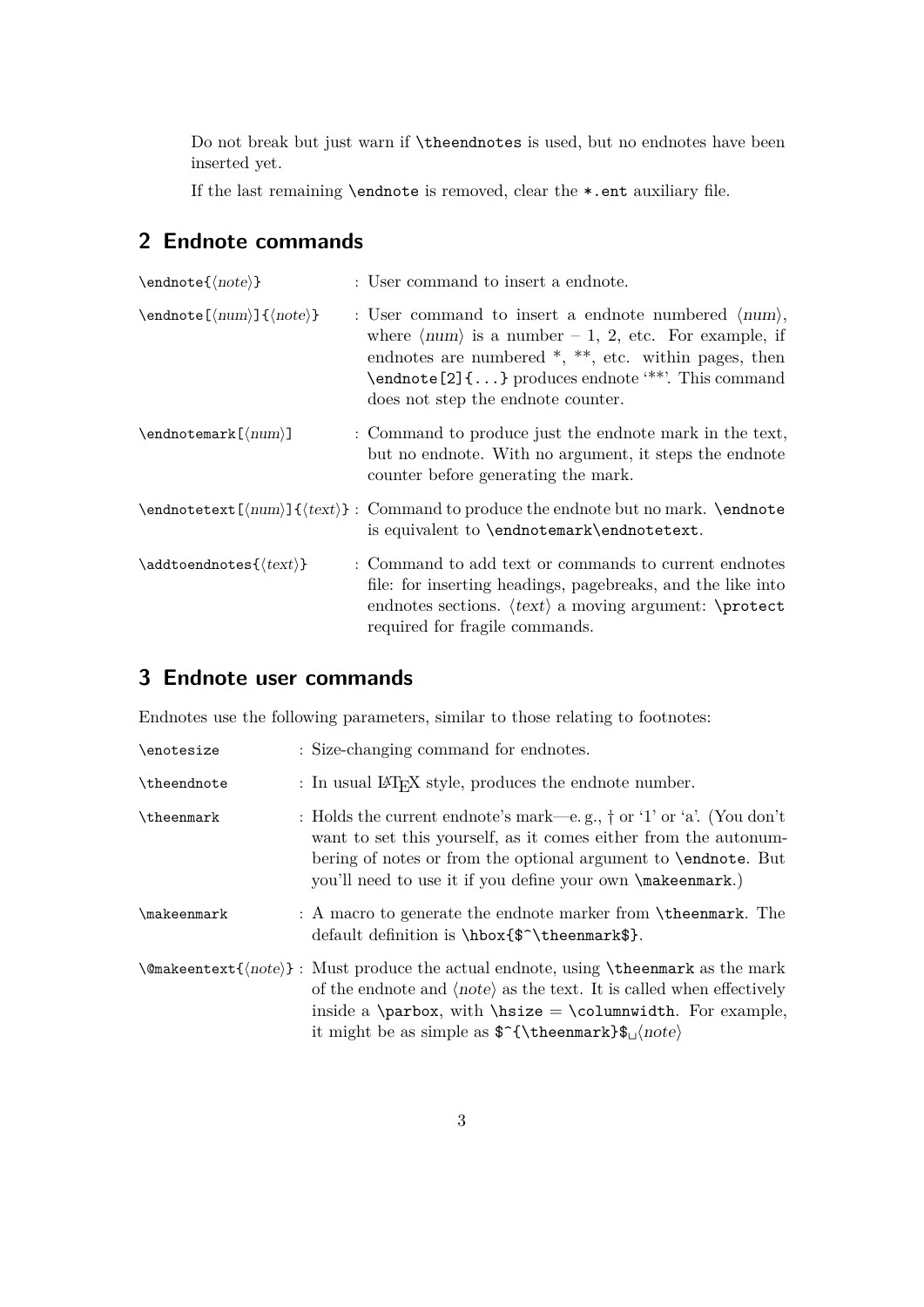Do not break but just warn if \theendnotes is used, but no endnotes have been inserted yet.

If the last remaining \endnote is removed, clear the \*.ent auxiliary file.

### **2 Endnote commands**

| $\end{note}$                                                          | : User command to insert a endnote.                                                                                                                                                                                                                                                                                                       |
|-----------------------------------------------------------------------|-------------------------------------------------------------------------------------------------------------------------------------------------------------------------------------------------------------------------------------------------------------------------------------------------------------------------------------------|
| $\end{table}$ \endnote $[\langle num \rangle] {\langle note \rangle}$ | : User command to insert a endnote numbered $\langle num \rangle$ ,<br>where $\langle num \rangle$ is a number - 1, 2, etc. For example, if<br>endnotes are numbered $*, **$ , etc. within pages, then<br>$\label{lem:1} \verb+\endnote[2]{\dots} produces \endnote ``\varepsilon'''. This command$<br>does not step the endnote counter. |
| $\endnot$ endnotemark $[\langle num \rangle]$                         | : Command to produce just the endnote mark in the text,<br>but no endnote. With no argument, it steps the endnote<br>counter before generating the mark.                                                                                                                                                                                  |
|                                                                       | $\end{notetext}(\num)$ { $\text{\text{'}}$ } : Command to produce the endnote but no mark. \endnote<br>is equivalent to \endnotemark\endnotetext.                                                                                                                                                                                         |
| $\ad{toendnotes({text})}$                                             | : Command to add text or commands to current endnotes<br>file: for inserting headings, pagebreaks, and the like into<br>endnotes sections. $\langle text \rangle$ a moving argument: \protect<br>required for fragile commands.                                                                                                           |

## **3 Endnote user commands**

Endnotes use the following parameters, similar to those relating to footnotes:

| \enotesize  | : Size-changing command for endnotes.                                                                                                                                                                                                                                                                                           |
|-------------|---------------------------------------------------------------------------------------------------------------------------------------------------------------------------------------------------------------------------------------------------------------------------------------------------------------------------------|
| \theendnote | : In usual $\Delta T$ FX style, produces the endnote number.                                                                                                                                                                                                                                                                    |
| \theenmark  | : Holds the current endnote's mark—e.g., $\dagger$ or '1' or 'a'. (You don't<br>want to set this yourself, as it comes either from the autonum-<br>bering of notes or from the optional argument to <b>\endnote</b> . But<br>you'll need to use it if you define your own \makeenmark.)                                         |
| \makeenmark | : A macro to generate the endnote marker from <b>\theenmark</b> . The<br>default definition is \hbox{\$^\theenmark\$}.                                                                                                                                                                                                          |
|             | $\{\text{note}\}$ : Must produce the actual endnote, using $\{\text{theemark}\}$ as the mark<br>of the endnote and $\langle note \rangle$ as the text. It is called when effectively<br>inside a \parbox, with \hsize = \columnwidth. For example,<br>it might be as simple as $\{\theta \$ { \the enmark } $\_{\text{note}}$ } |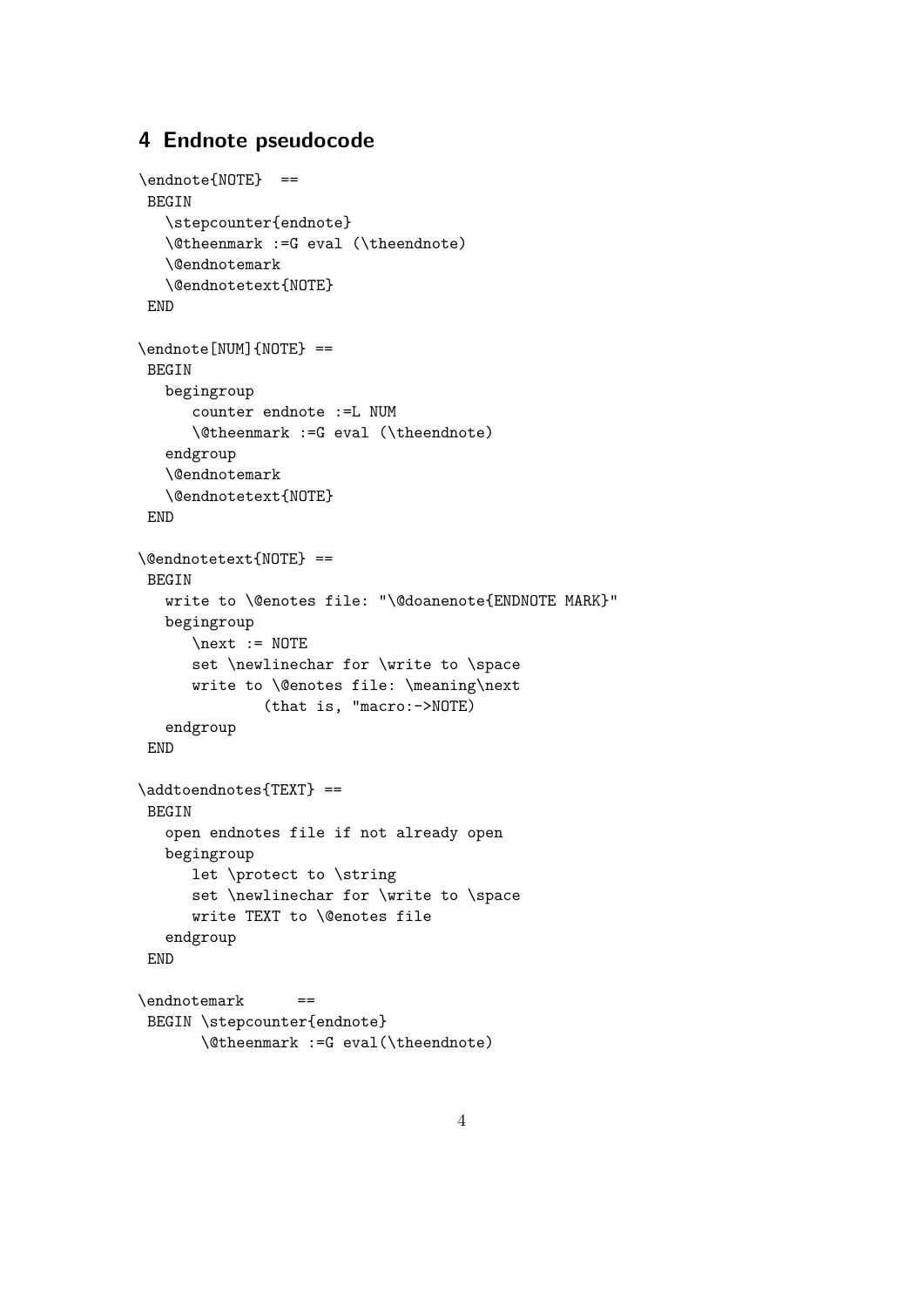#### **4 Endnote pseudocode**

```
\endnote{NOTE} ==
BEGIN
   \stepcounter{endnote}
   \@theenmark :=G eval (\theendnote)
   \@endnotemark
   \@endnotetext{NOTE}
END
\endnote[NUM]{NOTE} ==
BEGIN
  begingroup
      counter endnote :=L NUM
      \@theenmark :=G eval (\theendnote)
   endgroup
   \@endnotemark
   \@endnotetext{NOTE}
END
\@endnotetext{NOTE} ==
BEGIN
   write to \@enotes file: "\@doanenote{ENDNOTE MARK}"
  begingroup
      \text{next} := \text{NOTE}set \newlinechar for \write to \space
      write to \@enotes file: \meaning\next
              (that is, "macro:->NOTE)
   endgroup
END
\addtoendnotes{TEXT} ==
BEGIN
   open endnotes file if not already open
   begingroup
      let \protect to \string
      set \newlinechar for \write to \space
      write TEXT to \@enotes file
   endgroup
END
\endnotemark ==
BEGIN \stepcounter{endnote}
       \@theenmark :=G eval(\theendnote)
```